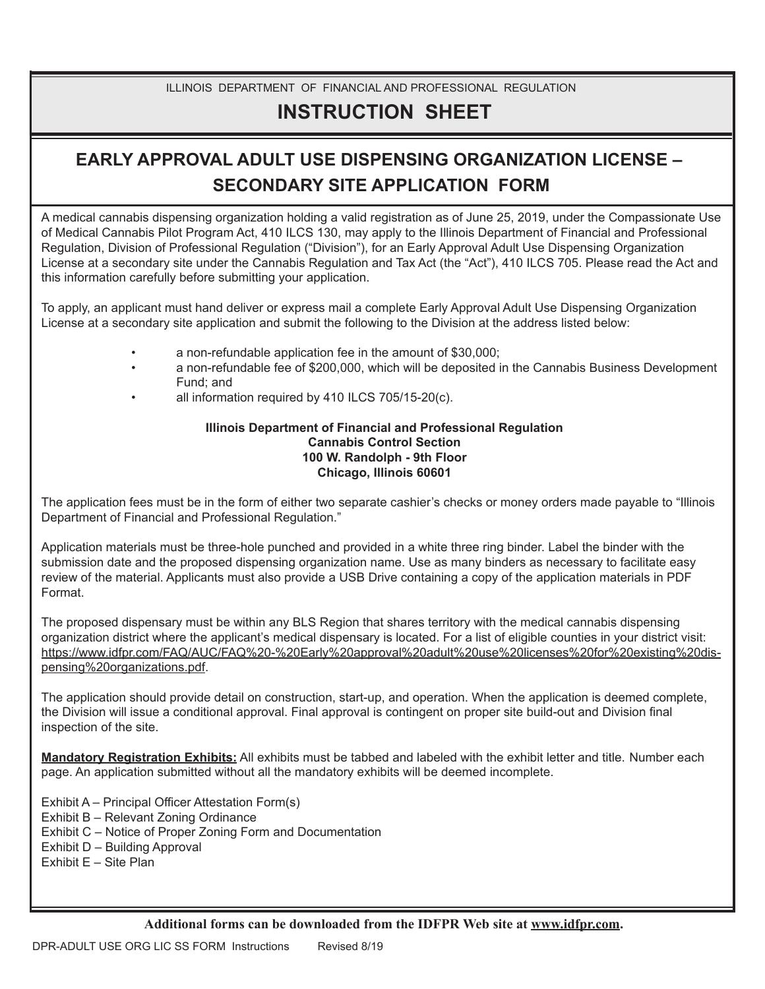## ILLINOIS DEPARTMENT OF FINANCIAL AND PROFESSIONAL REGULATION

# **INSTRUCTION SHEET**

# **EARLY APPROVAL ADULT USE DISPENSING ORGANIZATION LICENSE – SECONDARY SITE APPLICATION FORM**

A medical cannabis dispensing organization holding a valid registration as of June 25, 2019, under the Compassionate Use of Medical Cannabis Pilot Program Act, 410 ILCS 130, may apply to the Illinois Department of Financial and Professional Regulation, Division of Professional Regulation ("Division"), for an Early Approval Adult Use Dispensing Organization License at a secondary site under the Cannabis Regulation and Tax Act (the "Act"), 410 ILCS 705. Please read the Act and this information carefully before submitting your application.

To apply, an applicant must hand deliver or express mail a complete Early Approval Adult Use Dispensing Organization License at a secondary site application and submit the following to the Division at the address listed below:

- a non-refundable application fee in the amount of \$30,000;
- a non-refundable fee of \$200,000, which will be deposited in the Cannabis Business Development Fund; and
- all information required by 410 ILCS 705/15-20(c).

#### **Illinois Department of Financial and Professional Regulation Cannabis Control Section 100 W. Randolph - 9th Floor Chicago, Illinois 60601**

The application fees must be in the form of either two separate cashier's checks or money orders made payable to "Illinois Department of Financial and Professional Regulation."

Application materials must be three-hole punched and provided in a white three ring binder. Label the binder with the submission date and the proposed dispensing organization name. Use as many binders as necessary to facilitate easy review of the material. Applicants must also provide a USB Drive containing a copy of the application materials in PDF Format.

The proposed dispensary must be within any BLS Region that shares territory with the medical cannabis dispensing organization district where the applicant's medical dispensary is located. For a list of eligible counties in your district visit: https://www.idfpr.com/FAQ/AUC/FAQ%20-%20Early%20approval%20adult%20use%20licenses%20for%20existing%20dispensing%20organizations.pdf.

The application should provide detail on construction, start-up, and operation. When the application is deemed complete, the Division will issue a conditional approval. Final approval is contingent on proper site build-out and Division final inspection of the site.

**Mandatory Registration Exhibits:** All exhibits must be tabbed and labeled with the exhibit letter and title. Number each page. An application submitted without all the mandatory exhibits will be deemed incomplete.

Exhibit A – Principal Officer Attestation Form(s) Exhibit B – Relevant Zoning Ordinance Exhibit C – Notice of Proper Zoning Form and Documentation Exhibit D – Building Approval Exhibit E – Site Plan

**Additional forms can be downloaded from the IDFPR Web site at www.idfpr.com.**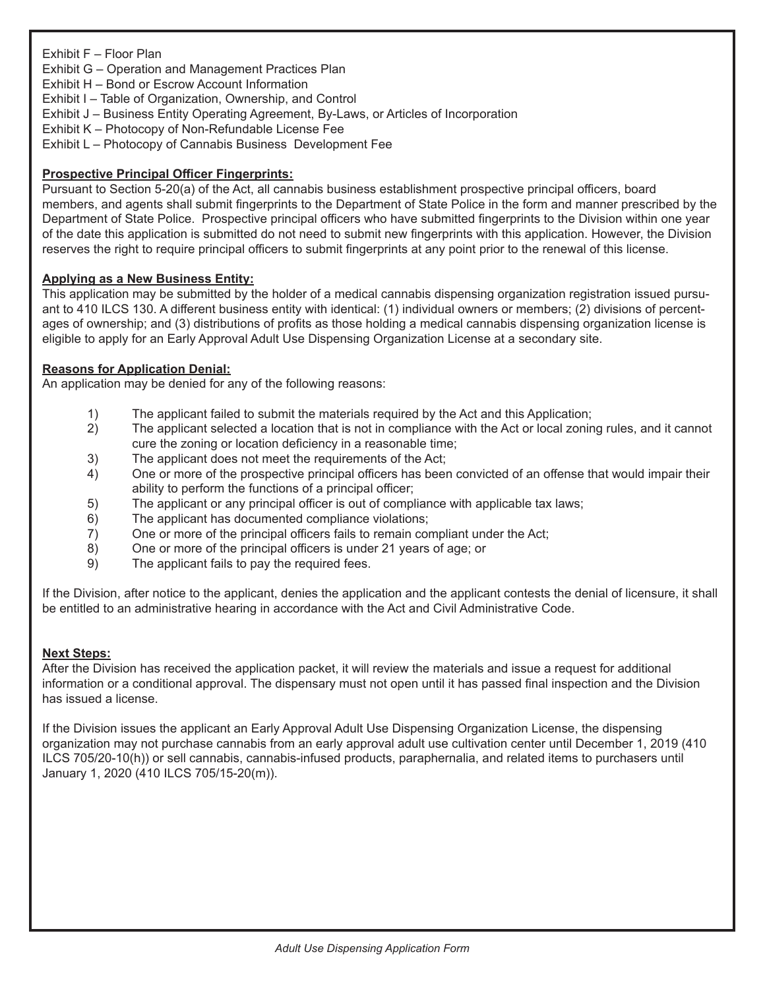## Exhibit F – Floor Plan

Exhibit G – Operation and Management Practices Plan

Exhibit H – Bond or Escrow Account Information

Exhibit I – Table of Organization, Ownership, and Control

- Exhibit J Business Entity Operating Agreement, By-Laws, or Articles of Incorporation
- Exhibit K Photocopy of Non-Refundable License Fee
- Exhibit L Photocopy of Cannabis Business Development Fee

## **Prospective Principal Officer Fingerprints:**

Pursuant to Section 5-20(a) of the Act, all cannabis business establishment prospective principal officers, board members, and agents shall submit fingerprints to the Department of State Police in the form and manner prescribed by the Department of State Police. Prospective principal officers who have submitted fingerprints to the Division within one year of the date this application is submitted do not need to submit new fingerprints with this application. However, the Division reserves the right to require principal officers to submit fingerprints at any point prior to the renewal of this license.

#### **Applying as a New Business Entity:**

This application may be submitted by the holder of a medical cannabis dispensing organization registration issued pursuant to 410 ILCS 130. A different business entity with identical: (1) individual owners or members; (2) divisions of percentages of ownership; and (3) distributions of profits as those holding a medical cannabis dispensing organization license is eligible to apply for an Early Approval Adult Use Dispensing Organization License at a secondary site.

## **Reasons for Application Denial:**

An application may be denied for any of the following reasons:

- 1) The applicant failed to submit the materials required by the Act and this Application;
- 2) The applicant selected a location that is not in compliance with the Act or local zoning rules, and it cannot cure the zoning or location deficiency in a reasonable time;
- 3) The applicant does not meet the requirements of the Act;
- 4) One or more of the prospective principal officers has been convicted of an offense that would impair their ability to perform the functions of a principal officer;
- 5) The applicant or any principal officer is out of compliance with applicable tax laws;
- 6) The applicant has documented compliance violations;
- 7) One or more of the principal officers fails to remain compliant under the Act;
- 8) One or more of the principal officers is under 21 years of age; or
- 9) The applicant fails to pay the required fees.

If the Division, after notice to the applicant, denies the application and the applicant contests the denial of licensure, it shall be entitled to an administrative hearing in accordance with the Act and Civil Administrative Code.

#### **Next Steps:**

After the Division has received the application packet, it will review the materials and issue a request for additional information or a conditional approval. The dispensary must not open until it has passed final inspection and the Division has issued a license.

If the Division issues the applicant an Early Approval Adult Use Dispensing Organization License, the dispensing organization may not purchase cannabis from an early approval adult use cultivation center until December 1, 2019 (410 ILCS 705/20-10(h)) or sell cannabis, cannabis-infused products, paraphernalia, and related items to purchasers until January 1, 2020 (410 ILCS 705/15-20(m)).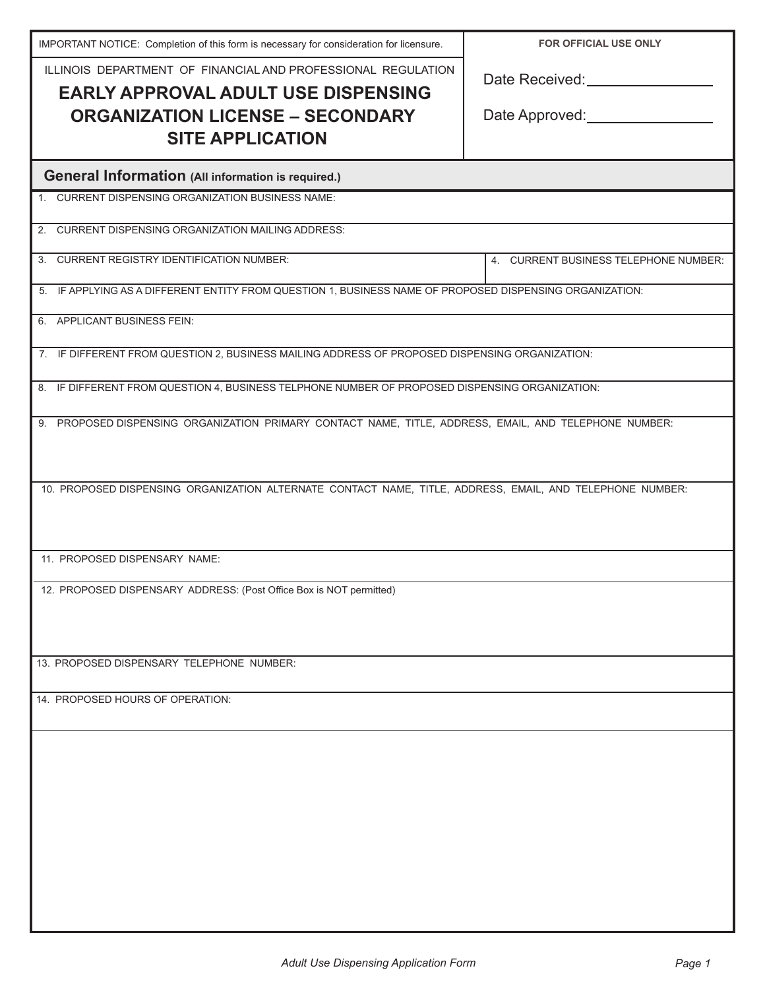| IMPORTANT NOTICE: Completion of this form is necessary for consideration for licensure.                    | <b>FOR OFFICIAL USE ONLY</b>              |
|------------------------------------------------------------------------------------------------------------|-------------------------------------------|
| ILLINOIS DEPARTMENT OF FINANCIAL AND PROFESSIONAL REGULATION<br><b>EARLY APPROVAL ADULT USE DISPENSING</b> | Date Received: Network and Date Received: |
| <b>ORGANIZATION LICENSE - SECONDARY</b>                                                                    | Date Approved: ________________           |
| <b>SITE APPLICATION</b>                                                                                    |                                           |
| <b>General Information (All information is required.)</b>                                                  |                                           |
| 1. CURRENT DISPENSING ORGANIZATION BUSINESS NAME:                                                          |                                           |
| 2. CURRENT DISPENSING ORGANIZATION MAILING ADDRESS:                                                        |                                           |
| 3. CURRENT REGISTRY IDENTIFICATION NUMBER:                                                                 | 4. CURRENT BUSINESS TELEPHONE NUMBER:     |
| 5. IF APPLYING AS A DIFFERENT ENTITY FROM QUESTION 1, BUSINESS NAME OF PROPOSED DISPENSING ORGANIZATION:   |                                           |
| 6. APPLICANT BUSINESS FEIN:                                                                                |                                           |
| 7. IF DIFFERENT FROM QUESTION 2, BUSINESS MAILING ADDRESS OF PROPOSED DISPENSING ORGANIZATION:             |                                           |
| 8. IF DIFFERENT FROM QUESTION 4, BUSINESS TELPHONE NUMBER OF PROPOSED DISPENSING ORGANIZATION:             |                                           |
| 9. PROPOSED DISPENSING ORGANIZATION PRIMARY CONTACT NAME, TITLE, ADDRESS, EMAIL, AND TELEPHONE NUMBER:     |                                           |
|                                                                                                            |                                           |
| 10. PROPOSED DISPENSING ORGANIZATION ALTERNATE CONTACT NAME, TITLE, ADDRESS, EMAIL, AND TELEPHONE NUMBER:  |                                           |
|                                                                                                            |                                           |
| 11. PROPOSED DISPENSARY NAME:                                                                              |                                           |
|                                                                                                            |                                           |
| 12. PROPOSED DISPENSARY ADDRESS: (Post Office Box is NOT permitted)                                        |                                           |
|                                                                                                            |                                           |
| 13. PROPOSED DISPENSARY TELEPHONE NUMBER:                                                                  |                                           |
| 14. PROPOSED HOURS OF OPERATION:                                                                           |                                           |
|                                                                                                            |                                           |
|                                                                                                            |                                           |
|                                                                                                            |                                           |
|                                                                                                            |                                           |
|                                                                                                            |                                           |
|                                                                                                            |                                           |
|                                                                                                            |                                           |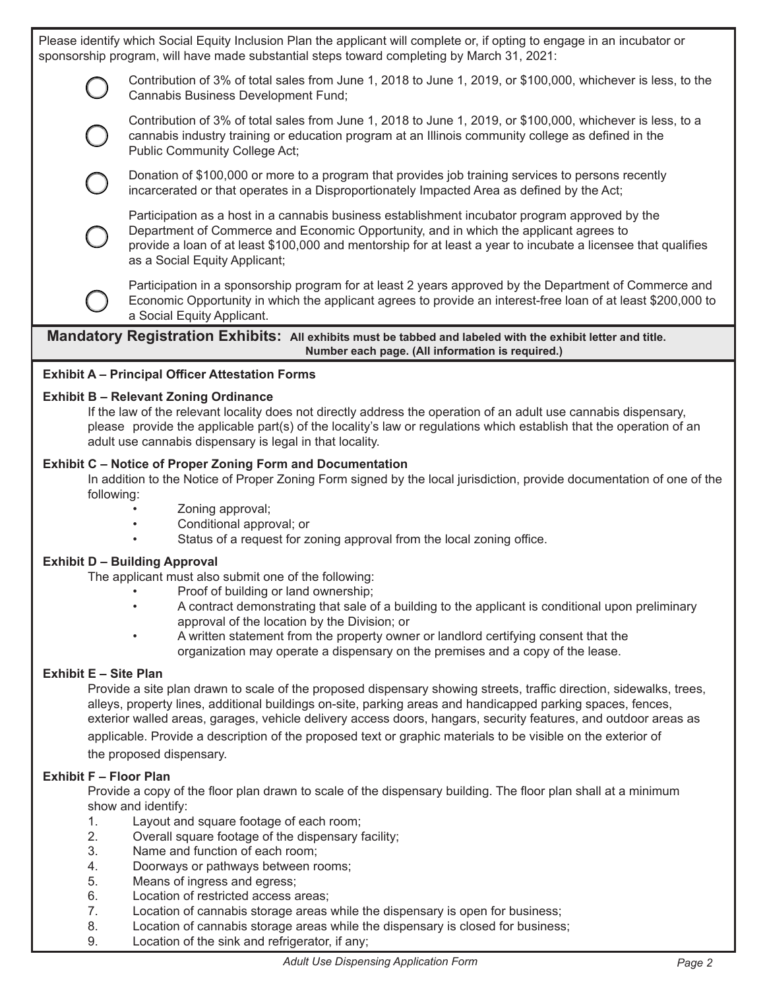Please identify which Social Equity Inclusion Plan the applicant will complete or, if opting to engage in an incubator or sponsorship program, will have made substantial steps toward completing by March 31, 2021:

> Contribution of 3% of total sales from June 1, 2018 to June 1, 2019, or \$100,000, whichever is less, to the Cannabis Business Development Fund;

 Contribution of 3% of total sales from June 1, 2018 to June 1, 2019, or \$100,000, whichever is less, to a cannabis industry training or education program at an Illinois community college as defined in the Public Community College Act;

 Donation of \$100,000 or more to a program that provides job training services to persons recently incarcerated or that operates in a Disproportionately Impacted Area as defined by the Act;

 Participation as a host in a cannabis business establishment incubator program approved by the Department of Commerce and Economic Opportunity, and in which the applicant agrees to provide a loan of at least \$100,000 and mentorship for at least a year to incubate a licensee that qualifies as a Social Equity Applicant;

 Participation in a sponsorship program for at least 2 years approved by the Department of Commerce and Economic Opportunity in which the applicant agrees to provide an interest-free loan of at least \$200,000 to a Social Equity Applicant.

**Mandatory Registration Exhibits: All exhibits must be tabbed and labeled with the exhibit letter and title. Number each page. (All information is required.)**

## **Exhibit A – Principal Officer Attestation Forms**

#### **Exhibit B – Relevant Zoning Ordinance**

If the law of the relevant locality does not directly address the operation of an adult use cannabis dispensary, please provide the applicable part(s) of the locality's law or regulations which establish that the operation of an adult use cannabis dispensary is legal in that locality.

## **Exhibit C – Notice of Proper Zoning Form and Documentation**

In addition to the Notice of Proper Zoning Form signed by the local jurisdiction, provide documentation of one of the following:

- Zoning approval;
- Conditional approval; or
- Status of a request for zoning approval from the local zoning office.

## **Exhibit D – Building Approval**

The applicant must also submit one of the following:

- Proof of building or land ownership;
- A contract demonstrating that sale of a building to the applicant is conditional upon preliminary approval of the location by the Division; or
- A written statement from the property owner or landlord certifying consent that the organization may operate a dispensary on the premises and a copy of the lease.

## **Exhibit E – Site Plan**

Provide a site plan drawn to scale of the proposed dispensary showing streets, traffic direction, sidewalks, trees, alleys, property lines, additional buildings on-site, parking areas and handicapped parking spaces, fences, exterior walled areas, garages, vehicle delivery access doors, hangars, security features, and outdoor areas as applicable. Provide a description of the proposed text or graphic materials to be visible on the exterior of the proposed dispensary.

## **Exhibit F – Floor Plan**

Provide a copy of the floor plan drawn to scale of the dispensary building. The floor plan shall at a minimum show and identify:

- 1. Layout and square footage of each room;
- 2. Overall square footage of the dispensary facility;
- 3. Name and function of each room;
- 4. Doorways or pathways between rooms;
- 5. Means of ingress and egress;
- 6. Location of restricted access areas;
- 7. Location of cannabis storage areas while the dispensary is open for business;
- 8. Location of cannabis storage areas while the dispensary is closed for business;
- 9. Location of the sink and refrigerator, if any;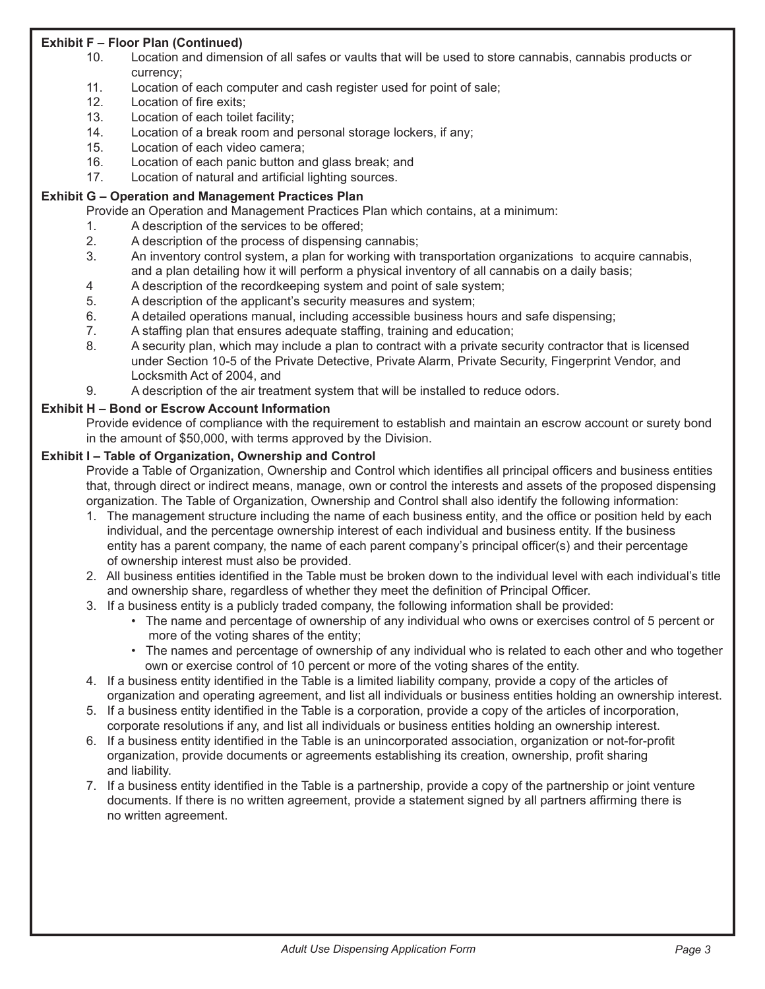# **Exhibit F – Floor Plan (Continued)**

- 10. Location and dimension of all safes or vaults that will be used to store cannabis, cannabis products or currency;
- 11. Location of each computer and cash register used for point of sale;
- 12. Location of fire exits;
- 13. Location of each toilet facility;
- 14. Location of a break room and personal storage lockers, if any;
- 15. Location of each video camera;
- 16. Location of each panic button and glass break; and
- 17. Location of natural and artificial lighting sources.

#### **Exhibit G – Operation and Management Practices Plan**

Provide an Operation and Management Practices Plan which contains, at a minimum:

- 1. A description of the services to be offered;
- 2. A description of the process of dispensing cannabis;
- 3. An inventory control system, a plan for working with transportation organizations to acquire cannabis, and a plan detailing how it will perform a physical inventory of all cannabis on a daily basis;
- 4 A description of the recordkeeping system and point of sale system;
- 5. A description of the applicant's security measures and system;
- 6. A detailed operations manual, including accessible business hours and safe dispensing;
- 7. A staffing plan that ensures adequate staffing, training and education;
- 8. A security plan, which may include a plan to contract with a private security contractor that is licensed under Section 10-5 of the Private Detective, Private Alarm, Private Security, Fingerprint Vendor, and Locksmith Act of 2004, and
- 9. A description of the air treatment system that will be installed to reduce odors.

## **Exhibit H – Bond or Escrow Account Information**

Provide evidence of compliance with the requirement to establish and maintain an escrow account or surety bond in the amount of \$50,000, with terms approved by the Division.

#### **Exhibit I – Table of Organization, Ownership and Control**

Provide a Table of Organization, Ownership and Control which identifies all principal officers and business entities that, through direct or indirect means, manage, own or control the interests and assets of the proposed dispensing organization. The Table of Organization, Ownership and Control shall also identify the following information:

- 1. The management structure including the name of each business entity, and the office or position held by each individual, and the percentage ownership interest of each individual and business entity. If the business entity has a parent company, the name of each parent company's principal officer(s) and their percentage of ownership interest must also be provided.
- 2. All business entities identified in the Table must be broken down to the individual level with each individual's title and ownership share, regardless of whether they meet the definition of Principal Officer.
- 3. If a business entity is a publicly traded company, the following information shall be provided:
	- The name and percentage of ownership of any individual who owns or exercises control of 5 percent or more of the voting shares of the entity;
	- The names and percentage of ownership of any individual who is related to each other and who together own or exercise control of 10 percent or more of the voting shares of the entity.
- 4. If a business entity identified in the Table is a limited liability company, provide a copy of the articles of organization and operating agreement, and list all individuals or business entities holding an ownership interest.
- 5. If a business entity identified in the Table is a corporation, provide a copy of the articles of incorporation, corporate resolutions if any, and list all individuals or business entities holding an ownership interest.
- 6. If a business entity identified in the Table is an unincorporated association, organization or not-for-profit organization, provide documents or agreements establishing its creation, ownership, profit sharing and liability.
- 7. If a business entity identified in the Table is a partnership, provide a copy of the partnership or joint venture documents. If there is no written agreement, provide a statement signed by all partners affirming there is no written agreement.